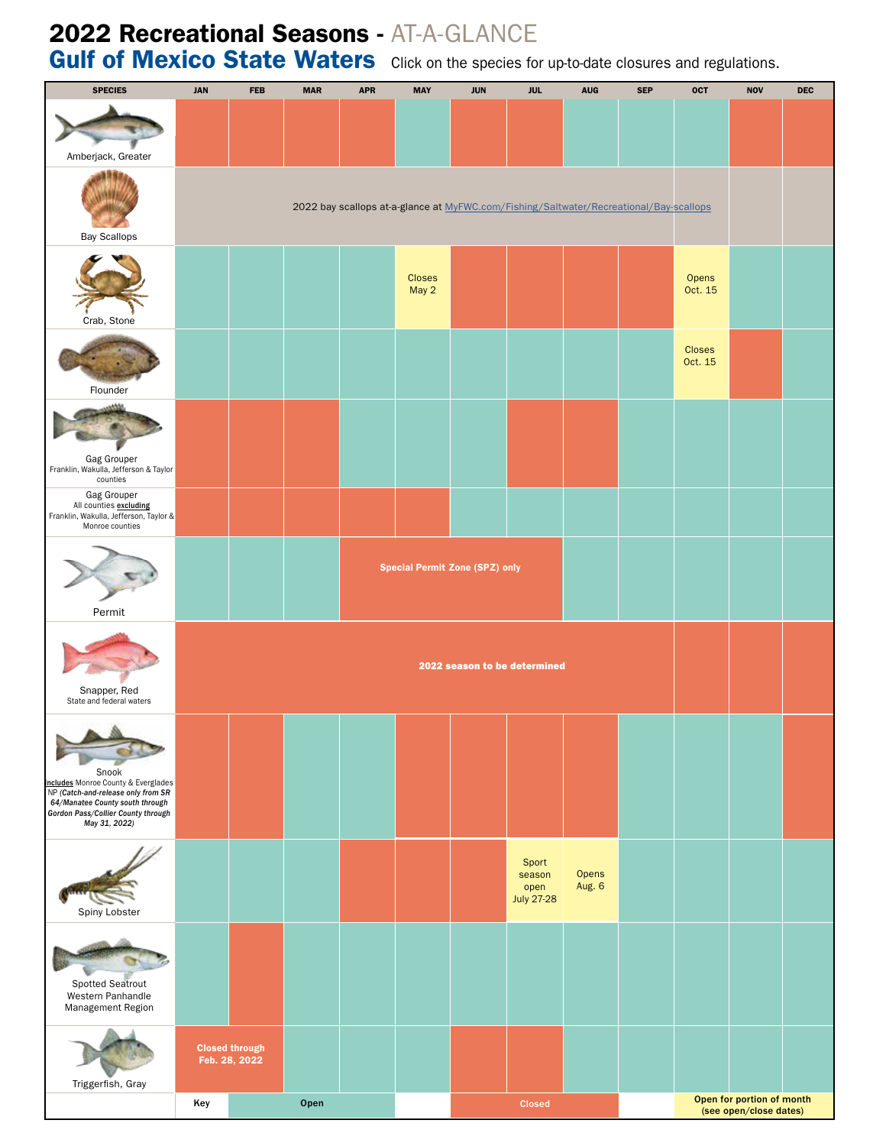## 2022 Recreational Seasons - AT-A-GLANCE

Gulf of Mexico State Waters Click on the species for up-to-date closures and regulations.

| <b>SPECIES</b>                                                                                                                                                                                  | <b>JAN</b>                                                                             | <b>FEB</b>                             | <b>MAR</b> | <b>APR</b> | <b>MAY</b>             | <b>JUN</b> | <b>JUL</b>                                   | <b>AUG</b>      | <b>SEP</b>                                          | <b>OCT</b>               | <b>NOV</b> | DEC |
|-------------------------------------------------------------------------------------------------------------------------------------------------------------------------------------------------|----------------------------------------------------------------------------------------|----------------------------------------|------------|------------|------------------------|------------|----------------------------------------------|-----------------|-----------------------------------------------------|--------------------------|------------|-----|
| Amberjack, Greater                                                                                                                                                                              |                                                                                        |                                        |            |            |                        |            |                                              |                 |                                                     |                          |            |     |
| <b>Bay Scallops</b>                                                                                                                                                                             | 2022 bay scallops at-a-glance at MyFWC.com/Fishing/Saltwater/Recreational/Bay-scallops |                                        |            |            |                        |            |                                              |                 |                                                     |                          |            |     |
| Crab, Stone                                                                                                                                                                                     |                                                                                        |                                        |            |            | <b>Closes</b><br>May 2 |            |                                              |                 |                                                     | Opens<br>Oct. 15         |            |     |
| Flounder                                                                                                                                                                                        |                                                                                        |                                        |            |            |                        |            |                                              |                 |                                                     | <b>Closes</b><br>Oct. 15 |            |     |
| Gag Grouper<br>Franklin, Wakulla, Jefferson & Taylor                                                                                                                                            |                                                                                        |                                        |            |            |                        |            |                                              |                 |                                                     |                          |            |     |
| counties<br>Gag Grouper<br>All counties excluding<br>Franklin, Wakulla, Jefferson, Taylor &<br>Monroe counties                                                                                  |                                                                                        |                                        |            |            |                        |            |                                              |                 |                                                     |                          |            |     |
| Permit                                                                                                                                                                                          |                                                                                        | <b>Special Permit Zone (SPZ) only</b>  |            |            |                        |            |                                              |                 |                                                     |                          |            |     |
| Snapper, Red<br>State and federal waters                                                                                                                                                        |                                                                                        | 2022 season to be determined           |            |            |                        |            |                                              |                 |                                                     |                          |            |     |
| <b>CONTRACT</b><br>Snook<br>Includes Monroe County & Everglades<br>NP (Catch-and-release only from SR<br>64/Manatee County south through<br>Gordon Pass/Collier County through<br>May 31, 2022) |                                                                                        |                                        |            |            |                        |            |                                              |                 |                                                     |                          |            |     |
| Spiny Lobster                                                                                                                                                                                   |                                                                                        |                                        |            |            |                        |            | Sport<br>season<br>open<br><b>July 27-28</b> | Opens<br>Aug. 6 |                                                     |                          |            |     |
| Spotted Seatrout<br>Western Panhandle<br>Management Region                                                                                                                                      |                                                                                        |                                        |            |            |                        |            |                                              |                 |                                                     |                          |            |     |
| Triggerfish, Gray                                                                                                                                                                               |                                                                                        | <b>Closed through</b><br>Feb. 28, 2022 |            |            |                        |            |                                              |                 |                                                     |                          |            |     |
|                                                                                                                                                                                                 | Key                                                                                    | Open                                   |            |            |                        | Closed     |                                              |                 | Open for portion of month<br>(see open/close dates) |                          |            |     |